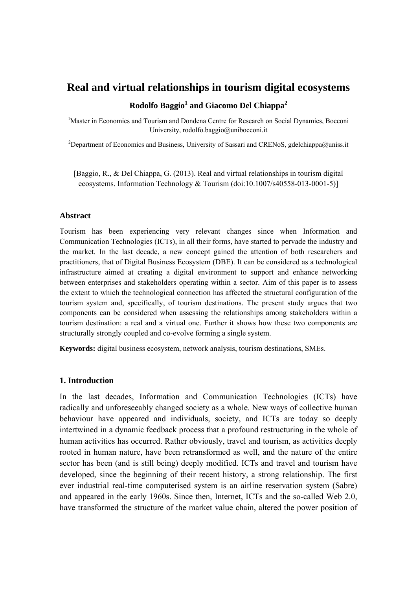# **Real and virtual relationships in tourism digital ecosystems Rodolfo Baggio<sup>1</sup> and Giacomo Del Chiappa<sup>2</sup>**

<sup>1</sup>Master in Economics and Tourism and Dondena Centre for Research on Social Dynamics, Bocconi University, rodolfo.baggio@unibocconi.it

<sup>2</sup>Department of Economics and Business, University of Sassari and CRENoS, gdelchiappa@uniss.it

[Baggio, R., & Del Chiappa, G. (2013). Real and virtual relationships in tourism digital ecosystems. Information Technology & Tourism (doi:10.1007/s40558-013-0001-5)]

#### **Abstract**

Tourism has been experiencing very relevant changes since when Information and Communication Technologies (ICTs), in all their forms, have started to pervade the industry and the market. In the last decade, a new concept gained the attention of both researchers and practitioners, that of Digital Business Ecosystem (DBE). It can be considered as a technological infrastructure aimed at creating a digital environment to support and enhance networking between enterprises and stakeholders operating within a sector. Aim of this paper is to assess the extent to which the technological connection has affected the structural configuration of the tourism system and, specifically, of tourism destinations. The present study argues that two components can be considered when assessing the relationships among stakeholders within a tourism destination: a real and a virtual one. Further it shows how these two components are structurally strongly coupled and co-evolve forming a single system.

**Keywords:** digital business ecosystem, network analysis, tourism destinations, SMEs.

#### **1. Introduction**

In the last decades, Information and Communication Technologies (ICTs) have radically and unforeseeably changed society as a whole. New ways of collective human behaviour have appeared and individuals, society, and ICTs are today so deeply intertwined in a dynamic feedback process that a profound restructuring in the whole of human activities has occurred. Rather obviously, travel and tourism, as activities deeply rooted in human nature, have been retransformed as well, and the nature of the entire sector has been (and is still being) deeply modified. ICTs and travel and tourism have developed, since the beginning of their recent history, a strong relationship. The first ever industrial real-time computerised system is an airline reservation system (Sabre) and appeared in the early 1960s. Since then, Internet, ICTs and the so-called Web 2.0, have transformed the structure of the market value chain, altered the power position of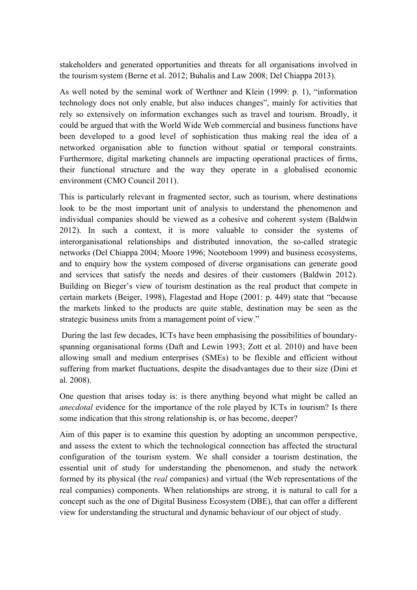stakeholders and generated opportunities and threats for all organisations involved in the tourism system (Berne et al. 2012; Buhalis and Law 2008; Del Chiappa 2013).

As well noted by the seminal work of Werthner and Klein (1999: p. 1), "information technology does not only enable, but also induces changes", mainly for activities that rely so extensively on information exchanges such as travel and tourism. Broadly, it could be argued that with the World Wide Web commercial and business functions have been developed to a good level of sophistication thus making real the idea of a networked organisation able to function without spatial or temporal constraints. Furthermore, digital marketing channels are impacting operational practices of firms, their functional structure and the way they operate in a globalised economic environment (CMO Council 2011).

This is particularly relevant in fragmented sector, such as tourism, where destinations look to be the most important unit of analysis to understand the phenomenon and individual companies should be viewed as a cohesive and coherent system (Baldwin 2012). In such a context, it is more valuable to consider the systems of interorganisational relationships and distributed innovation, the so-called strategic networks (Del Chiappa 2004; Moore 1996; Nooteboom 1999) and business ecosystems, and to enquiry how the system composed of diverse organisations can generate good and services that satisfy the needs and desires of their customers (Baldwin 2012). Building on Bieger's view of tourism destination as the real product that compete in certain markets (Beiger, 1998), Flagestad and Hope (2001: p. 449) state that "because the markets linked to the products are quite stable, destination may be seen as the strategic business units from a management point of view."

 During the last few decades, ICTs have been emphasising the possibilities of boundaryspanning organisational forms (Daft and Lewin 1993; Zott et al. 2010) and have been allowing small and medium enterprises (SMEs) to be flexible and efficient without suffering from market fluctuations, despite the disadvantages due to their size (Dini et al. 2008).

One question that arises today is: is there anything beyond what might be called an *anecdotal* evidence for the importance of the role played by ICTs in tourism? Is there some indication that this strong relationship is, or has become, deeper?

Aim of this paper is to examine this question by adopting an uncommon perspective, and assess the extent to which the technological connection has affected the structural configuration of the tourism system. We shall consider a tourism destination, the essential unit of study for understanding the phenomenon, and study the network formed by its physical (the *real* companies) and virtual (the Web representations of the real companies) components. When relationships are strong, it is natural to call for a concept such as the one of Digital Business Ecosystem (DBE), that can offer a different view for understanding the structural and dynamic behaviour of our object of study.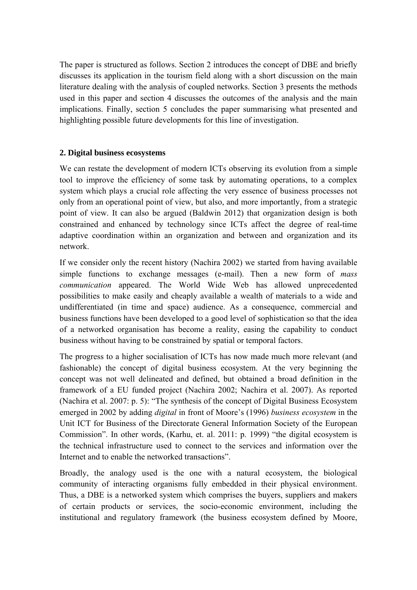The paper is structured as follows. Section 2 introduces the concept of DBE and briefly discusses its application in the tourism field along with a short discussion on the main literature dealing with the analysis of coupled networks. Section 3 presents the methods used in this paper and section 4 discusses the outcomes of the analysis and the main implications. Finally, section 5 concludes the paper summarising what presented and highlighting possible future developments for this line of investigation.

# **2. Digital business ecosystems**

We can restate the development of modern ICTs observing its evolution from a simple tool to improve the efficiency of some task by automating operations, to a complex system which plays a crucial role affecting the very essence of business processes not only from an operational point of view, but also, and more importantly, from a strategic point of view. It can also be argued (Baldwin 2012) that organization design is both constrained and enhanced by technology since ICTs affect the degree of real-time adaptive coordination within an organization and between and organization and its network.

If we consider only the recent history (Nachira 2002) we started from having available simple functions to exchange messages (e-mail). Then a new form of *mass communication* appeared. The World Wide Web has allowed unprecedented possibilities to make easily and cheaply available a wealth of materials to a wide and undifferentiated (in time and space) audience. As a consequence, commercial and business functions have been developed to a good level of sophistication so that the idea of a networked organisation has become a reality, easing the capability to conduct business without having to be constrained by spatial or temporal factors.

The progress to a higher socialisation of ICTs has now made much more relevant (and fashionable) the concept of digital business ecosystem. At the very beginning the concept was not well delineated and defined, but obtained a broad definition in the framework of a EU funded project (Nachira 2002; Nachira et al. 2007). As reported (Nachira et al. 2007: p. 5): "The synthesis of the concept of Digital Business Ecosystem emerged in 2002 by adding *digital* in front of Moore's (1996) *business ecosystem* in the Unit ICT for Business of the Directorate General Information Society of the European Commission". In other words, (Karhu, et. al. 2011: p. 1999) "the digital ecosystem is the technical infrastructure used to connect to the services and information over the Internet and to enable the networked transactions".

Broadly, the analogy used is the one with a natural ecosystem, the biological community of interacting organisms fully embedded in their physical environment. Thus, a DBE is a networked system which comprises the buyers, suppliers and makers of certain products or services, the socio-economic environment, including the institutional and regulatory framework (the business ecosystem defined by Moore,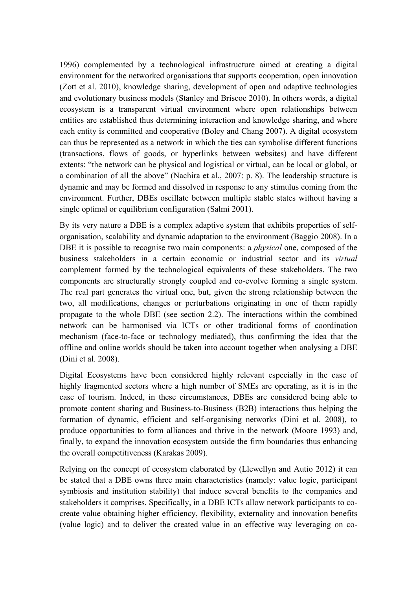1996) complemented by a technological infrastructure aimed at creating a digital environment for the networked organisations that supports cooperation, open innovation (Zott et al. 2010), knowledge sharing, development of open and adaptive technologies and evolutionary business models (Stanley and Briscoe 2010). In others words, a digital ecosystem is a transparent virtual environment where open relationships between entities are established thus determining interaction and knowledge sharing, and where each entity is committed and cooperative (Boley and Chang 2007). A digital ecosystem can thus be represented as a network in which the ties can symbolise different functions (transactions, flows of goods, or hyperlinks between websites) and have different extents: "the network can be physical and logistical or virtual, can be local or global, or a combination of all the above" (Nachira et al., 2007: p. 8). The leadership structure is dynamic and may be formed and dissolved in response to any stimulus coming from the environment. Further, DBEs oscillate between multiple stable states without having a single optimal or equilibrium configuration (Salmi 2001).

By its very nature a DBE is a complex adaptive system that exhibits properties of selforganisation, scalability and dynamic adaptation to the environment (Baggio 2008). In a DBE it is possible to recognise two main components: a *physical* one, composed of the business stakeholders in a certain economic or industrial sector and its *virtual* complement formed by the technological equivalents of these stakeholders. The two components are structurally strongly coupled and co-evolve forming a single system. The real part generates the virtual one, but, given the strong relationship between the two, all modifications, changes or perturbations originating in one of them rapidly propagate to the whole DBE (see section 2.2). The interactions within the combined network can be harmonised via ICTs or other traditional forms of coordination mechanism (face-to-face or technology mediated), thus confirming the idea that the offline and online worlds should be taken into account together when analysing a DBE (Dini et al. 2008).

Digital Ecosystems have been considered highly relevant especially in the case of highly fragmented sectors where a high number of SMEs are operating, as it is in the case of tourism. Indeed, in these circumstances, DBEs are considered being able to promote content sharing and Business-to-Business (B2B) interactions thus helping the formation of dynamic, efficient and self-organising networks (Dini et al. 2008), to produce opportunities to form alliances and thrive in the network (Moore 1993) and, finally, to expand the innovation ecosystem outside the firm boundaries thus enhancing the overall competitiveness (Karakas 2009).

Relying on the concept of ecosystem elaborated by (Llewellyn and Autio 2012) it can be stated that a DBE owns three main characteristics (namely: value logic, participant symbiosis and institution stability) that induce several benefits to the companies and stakeholders it comprises. Specifically, in a DBE ICTs allow network participants to cocreate value obtaining higher efficiency, flexibility, externality and innovation benefits (value logic) and to deliver the created value in an effective way leveraging on co-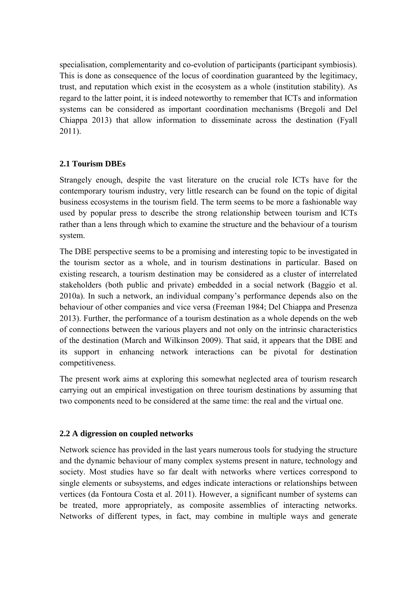specialisation, complementarity and co-evolution of participants (participant symbiosis). This is done as consequence of the locus of coordination guaranteed by the legitimacy, trust, and reputation which exist in the ecosystem as a whole (institution stability). As regard to the latter point, it is indeed noteworthy to remember that ICTs and information systems can be considered as important coordination mechanisms (Bregoli and Del Chiappa 2013) that allow information to disseminate across the destination (Fyall 2011).

# **2.1 Tourism DBEs**

Strangely enough, despite the vast literature on the crucial role ICTs have for the contemporary tourism industry, very little research can be found on the topic of digital business ecosystems in the tourism field. The term seems to be more a fashionable way used by popular press to describe the strong relationship between tourism and ICTs rather than a lens through which to examine the structure and the behaviour of a tourism system.

The DBE perspective seems to be a promising and interesting topic to be investigated in the tourism sector as a whole, and in tourism destinations in particular. Based on existing research, a tourism destination may be considered as a cluster of interrelated stakeholders (both public and private) embedded in a social network (Baggio et al. 2010a). In such a network, an individual company's performance depends also on the behaviour of other companies and vice versa (Freeman 1984; Del Chiappa and Presenza 2013). Further, the performance of a tourism destination as a whole depends on the web of connections between the various players and not only on the intrinsic characteristics of the destination (March and Wilkinson 2009). That said, it appears that the DBE and its support in enhancing network interactions can be pivotal for destination competitiveness.

The present work aims at exploring this somewhat neglected area of tourism research carrying out an empirical investigation on three tourism destinations by assuming that two components need to be considered at the same time: the real and the virtual one.

# **2.2 A digression on coupled networks**

Network science has provided in the last years numerous tools for studying the structure and the dynamic behaviour of many complex systems present in nature, technology and society. Most studies have so far dealt with networks where vertices correspond to single elements or subsystems, and edges indicate interactions or relationships between vertices (da Fontoura Costa et al. 2011). However, a significant number of systems can be treated, more appropriately, as composite assemblies of interacting networks. Networks of different types, in fact, may combine in multiple ways and generate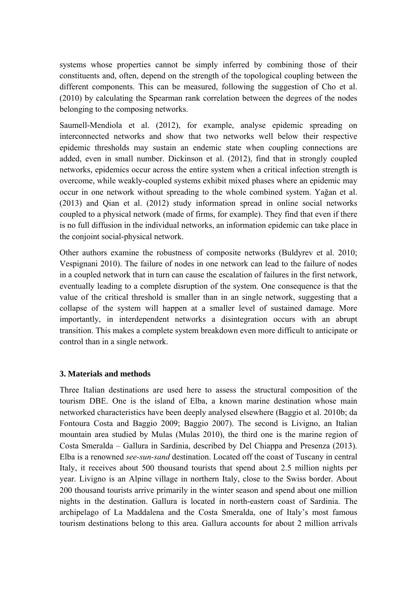systems whose properties cannot be simply inferred by combining those of their constituents and, often, depend on the strength of the topological coupling between the different components. This can be measured, following the suggestion of Cho et al. (2010) by calculating the Spearman rank correlation between the degrees of the nodes belonging to the composing networks.

Saumell-Mendiola et al. (2012), for example, analyse epidemic spreading on interconnected networks and show that two networks well below their respective epidemic thresholds may sustain an endemic state when coupling connections are added, even in small number. Dickinson et al. (2012), find that in strongly coupled networks, epidemics occur across the entire system when a critical infection strength is overcome, while weakly-coupled systems exhibit mixed phases where an epidemic may occur in one network without spreading to the whole combined system. Yağan et al. (2013) and Qian et al. (2012) study information spread in online social networks coupled to a physical network (made of firms, for example). They find that even if there is no full diffusion in the individual networks, an information epidemic can take place in the conjoint social-physical network.

Other authors examine the robustness of composite networks (Buldyrev et al. 2010; Vespignani 2010). The failure of nodes in one network can lead to the failure of nodes in a coupled network that in turn can cause the escalation of failures in the first network, eventually leading to a complete disruption of the system. One consequence is that the value of the critical threshold is smaller than in an single network, suggesting that a collapse of the system will happen at a smaller level of sustained damage. More importantly, in interdependent networks a disintegration occurs with an abrupt transition. This makes a complete system breakdown even more difficult to anticipate or control than in a single network.

# **3. Materials and methods**

Three Italian destinations are used here to assess the structural composition of the tourism DBE. One is the island of Elba, a known marine destination whose main networked characteristics have been deeply analysed elsewhere (Baggio et al. 2010b; da Fontoura Costa and Baggio 2009; Baggio 2007). The second is Livigno, an Italian mountain area studied by Mulas (Mulas 2010), the third one is the marine region of Costa Smeralda – Gallura in Sardinia, described by Del Chiappa and Presenza (2013). Elba is a renowned *see-sun-sand* destination. Located off the coast of Tuscany in central Italy, it receives about 500 thousand tourists that spend about 2.5 million nights per year. Livigno is an Alpine village in northern Italy, close to the Swiss border. About 200 thousand tourists arrive primarily in the winter season and spend about one million nights in the destination. Gallura is located in north-eastern coast of Sardinia. The archipelago of La Maddalena and the Costa Smeralda, one of Italy's most famous tourism destinations belong to this area. Gallura accounts for about 2 million arrivals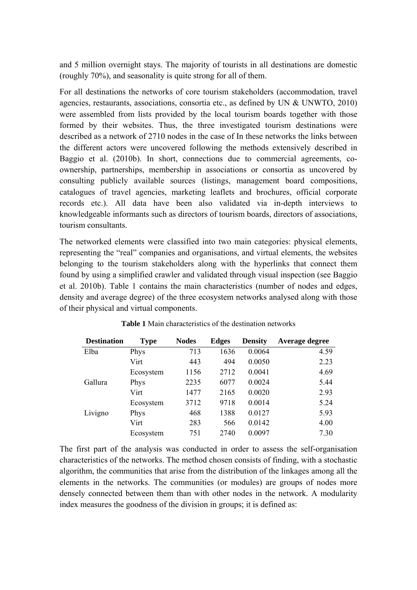and 5 million overnight stays. The majority of tourists in all destinations are domestic (roughly 70%), and seasonality is quite strong for all of them.

For all destinations the networks of core tourism stakeholders (accommodation, travel agencies, restaurants, associations, consortia etc., as defined by UN & UNWTO, 2010) were assembled from lists provided by the local tourism boards together with those formed by their websites. Thus, the three investigated tourism destinations were described as a network of 2710 nodes in the case of In these networks the links between the different actors were uncovered following the methods extensively described in Baggio et al. (2010b). In short, connections due to commercial agreements, coownership, partnerships, membership in associations or consortia as uncovered by consulting publicly available sources (listings, management board compositions, catalogues of travel agencies, marketing leaflets and brochures, official corporate records etc.). All data have been also validated via in-depth interviews to knowledgeable informants such as directors of tourism boards, directors of associations, tourism consultants.

The networked elements were classified into two main categories: physical elements, representing the "real" companies and organisations, and virtual elements, the websites belonging to the tourism stakeholders along with the hyperlinks that connect them found by using a simplified crawler and validated through visual inspection (see Baggio et al. 2010b). Table 1 contains the main characteristics (number of nodes and edges, density and average degree) of the three ecosystem networks analysed along with those of their physical and virtual components.

| <b>Destination</b> | <b>Type</b> | <b>Nodes</b> | <b>Edges</b> | <b>Density</b> | Average degree |
|--------------------|-------------|--------------|--------------|----------------|----------------|
| Elba               | Phys        | 713          | 1636         | 0.0064         | 4.59           |
|                    | Virt        | 443          | 494          | 0.0050         | 2.23           |
|                    | Ecosystem   | 1156         | 2712         | 0.0041         | 4.69           |
| Gallura            | Phys        | 2235         | 6077         | 0.0024         | 5.44           |
|                    | Virt        | 1477         | 2165         | 0.0020         | 2.93           |
|                    | Ecosystem   | 3712         | 9718         | 0.0014         | 5.24           |
| Livigno            | Phys        | 468          | 1388         | 0.0127         | 5.93           |
|                    | Virt        | 283          | 566          | 0.0142         | 4.00           |
|                    | Ecosystem   | 751          | 2740         | 0.0097         | 7.30           |

**Table 1** Main characteristics of the destination networks

The first part of the analysis was conducted in order to assess the self-organisation characteristics of the networks. The method chosen consists of finding, with a stochastic algorithm, the communities that arise from the distribution of the linkages among all the elements in the networks. The communities (or modules) are groups of nodes more densely connected between them than with other nodes in the network. A modularity index measures the goodness of the division in groups; it is defined as: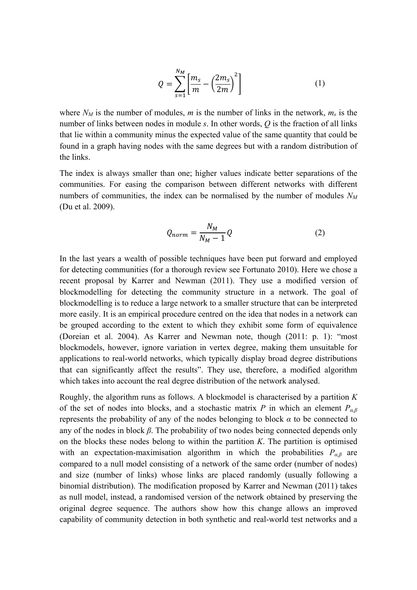$$
Q = \sum_{s=1}^{N_M} \left[ \frac{m_s}{m} - \left( \frac{2m_s}{2m} \right)^2 \right] \tag{1}
$$

where  $N_M$  is the number of modules, *m* is the number of links in the network,  $m_s$  is the number of links between nodes in module *s*. In other words, *Q* is the fraction of all links that lie within a community minus the expected value of the same quantity that could be found in a graph having nodes with the same degrees but with a random distribution of the links.

The index is always smaller than one; higher values indicate better separations of the communities. For easing the comparison between different networks with different numbers of communities, the index can be normalised by the number of modules  $N_M$ (Du et al. 2009).

$$
Q_{norm} = \frac{N_M}{N_M - 1}Q\tag{2}
$$

In the last years a wealth of possible techniques have been put forward and employed for detecting communities (for a thorough review see Fortunato 2010). Here we chose a recent proposal by Karrer and Newman (2011). They use a modified version of blockmodelling for detecting the community structure in a network. The goal of blockmodelling is to reduce a large network to a smaller structure that can be interpreted more easily. It is an empirical procedure centred on the idea that nodes in a network can be grouped according to the extent to which they exhibit some form of equivalence (Doreian et al. 2004). As Karrer and Newman note, though (2011: p. 1): "most blockmodels, however, ignore variation in vertex degree, making them unsuitable for applications to real-world networks, which typically display broad degree distributions that can significantly affect the results". They use, therefore, a modified algorithm which takes into account the real degree distribution of the network analysed.

Roughly, the algorithm runs as follows. A blockmodel is characterised by a partition *K* of the set of nodes into blocks, and a stochastic matrix *P* in which an element  $P_{\alpha,\beta}$ represents the probability of any of the nodes belonging to block  $\alpha$  to be connected to any of the nodes in block *β*. The probability of two nodes being connected depends only on the blocks these nodes belong to within the partition *K*. The partition is optimised with an expectation-maximisation algorithm in which the probabilities  $P_{\alpha,\beta}$  are compared to a null model consisting of a network of the same order (number of nodes) and size (number of links) whose links are placed randomly (usually following a binomial distribution). The modification proposed by Karrer and Newman (2011) takes as null model, instead, a randomised version of the network obtained by preserving the original degree sequence. The authors show how this change allows an improved capability of community detection in both synthetic and real-world test networks and a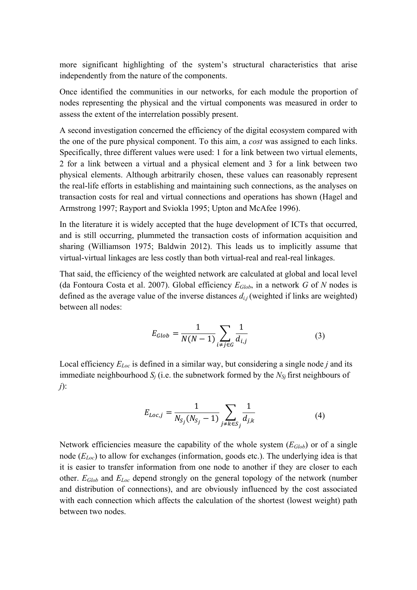more significant highlighting of the system's structural characteristics that arise independently from the nature of the components.

Once identified the communities in our networks, for each module the proportion of nodes representing the physical and the virtual components was measured in order to assess the extent of the interrelation possibly present.

A second investigation concerned the efficiency of the digital ecosystem compared with the one of the pure physical component. To this aim, a *cost* was assigned to each links. Specifically, three different values were used: 1 for a link between two virtual elements, 2 for a link between a virtual and a physical element and 3 for a link between two physical elements. Although arbitrarily chosen, these values can reasonably represent the real-life efforts in establishing and maintaining such connections, as the analyses on transaction costs for real and virtual connections and operations has shown (Hagel and Armstrong 1997; Rayport and Sviokla 1995; Upton and McAfee 1996).

In the literature it is widely accepted that the huge development of ICTs that occurred, and is still occurring, plummeted the transaction costs of information acquisition and sharing (Williamson 1975; Baldwin 2012). This leads us to implicitly assume that virtual-virtual linkages are less costly than both virtual-real and real-real linkages.

That said, the efficiency of the weighted network are calculated at global and local level (da Fontoura Costa et al. 2007). Global efficiency *EGlob*, in a network *G* of *N* nodes is defined as the average value of the inverse distances  $d_{i,j}$  (weighted if links are weighted) between all nodes:

$$
E_{Glob} = \frac{1}{N(N-1)} \sum_{i \neq j \in G} \frac{1}{d_{i,j}}
$$
 (3)

Local efficiency *ELoc* is defined in a similar way, but considering a single node *j* and its immediate neighbourhood  $S_i$  (i.e. the subnetwork formed by the  $N_{S_i}$  first neighbours of *j*):

$$
E_{Loc,j} = \frac{1}{N_{S_j}(N_{S_j} - 1)} \sum_{j \neq k \in S_j} \frac{1}{d_{j,k}}
$$
(4)

Network efficiencies measure the capability of the whole system (*EGlob*) or of a single node (*ELoc*) to allow for exchanges (information, goods etc.). The underlying idea is that it is easier to transfer information from one node to another if they are closer to each other. *EGlob* and *ELoc* depend strongly on the general topology of the network (number and distribution of connections), and are obviously influenced by the cost associated with each connection which affects the calculation of the shortest (lowest weight) path between two nodes.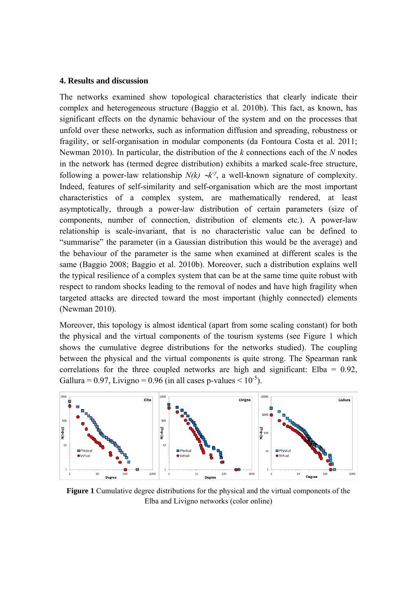#### **4. Results and discussion**

The networks examined show topological characteristics that clearly indicate their complex and heterogeneous structure (Baggio et al. 2010b). This fact, as known, has significant effects on the dynamic behaviour of the system and on the processes that unfold over these networks, such as information diffusion and spreading, robustness or fragility, or self-organisation in modular components (da Fontoura Costa et al. 2011; Newman 2010). In particular, the distribution of the *k* connections each of the *N* nodes in the network has (termed degree distribution) exhibits a marked scale-free structure, following a power-law relationship  $N(k) \sim k^{\gamma}$ , a well-known signature of complexity. Indeed, features of self-similarity and self-organisation which are the most important characteristics of a complex system, are mathematically rendered, at least asymptotically, through a power-law distribution of certain parameters (size of components, number of connection, distribution of elements etc.). A power-law relationship is scale-invariant, that is no characteristic value can be defined to "summarise" the parameter (in a Gaussian distribution this would be the average) and the behaviour of the parameter is the same when examined at different scales is the same (Baggio 2008; Baggio et al. 2010b). Moreover, such a distribution explains well the typical resilience of a complex system that can be at the same time quite robust with respect to random shocks leading to the removal of nodes and have high fragility when targeted attacks are directed toward the most important (highly connected) elements (Newman 2010).

Moreover, this topology is almost identical (apart from some scaling constant) for both the physical and the virtual components of the tourism systems (see Figure 1 which shows the cumulative degree distributions for the networks studied). The coupling between the physical and the virtual components is quite strong. The Spearman rank correlations for the three coupled networks are high and significant: Elba  $= 0.92$ , Gallura = 0.97, Livigno = 0.96 (in all cases p-values  $\leq 10^{-5}$ ).



**Figure 1** Cumulative degree distributions for the physical and the virtual components of the Elba and Livigno networks (color online)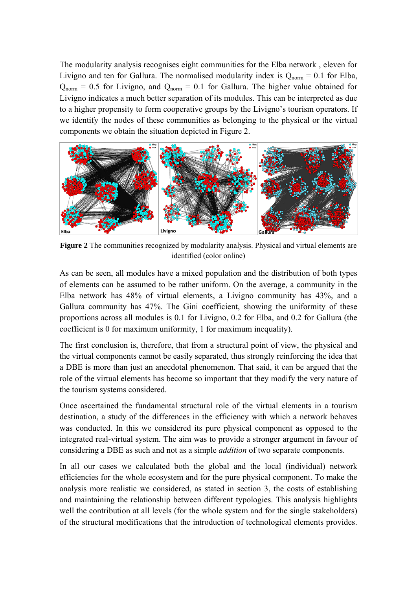The modularity analysis recognises eight communities for the Elba network , eleven for Livigno and ten for Gallura. The normalised modularity index is  $Q_{\text{norm}} = 0.1$  for Elba,  $Q_{norm} = 0.5$  for Livigno, and  $Q_{norm} = 0.1$  for Gallura. The higher value obtained for Livigno indicates a much better separation of its modules. This can be interpreted as due to a higher propensity to form cooperative groups by the Livigno's tourism operators. If we identify the nodes of these communities as belonging to the physical or the virtual components we obtain the situation depicted in Figure 2.



**Figure 2** The communities recognized by modularity analysis. Physical and virtual elements are identified (color online)

As can be seen, all modules have a mixed population and the distribution of both types of elements can be assumed to be rather uniform. On the average, a community in the Elba network has 48% of virtual elements, a Livigno community has 43%, and a Gallura community has 47%. The Gini coefficient, showing the uniformity of these proportions across all modules is 0.1 for Livigno, 0.2 for Elba, and 0.2 for Gallura (the coefficient is 0 for maximum uniformity, 1 for maximum inequality).

The first conclusion is, therefore, that from a structural point of view, the physical and the virtual components cannot be easily separated, thus strongly reinforcing the idea that a DBE is more than just an anecdotal phenomenon. That said, it can be argued that the role of the virtual elements has become so important that they modify the very nature of the tourism systems considered.

Once ascertained the fundamental structural role of the virtual elements in a tourism destination, a study of the differences in the efficiency with which a network behaves was conducted. In this we considered its pure physical component as opposed to the integrated real-virtual system. The aim was to provide a stronger argument in favour of considering a DBE as such and not as a simple *addition* of two separate components.

In all our cases we calculated both the global and the local (individual) network efficiencies for the whole ecosystem and for the pure physical component. To make the analysis more realistic we considered, as stated in section 3, the costs of establishing and maintaining the relationship between different typologies. This analysis highlights well the contribution at all levels (for the whole system and for the single stakeholders) of the structural modifications that the introduction of technological elements provides.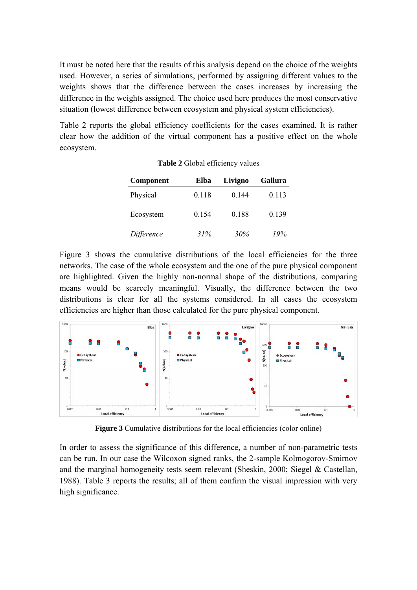It must be noted here that the results of this analysis depend on the choice of the weights used. However, a series of simulations, performed by assigning different values to the weights shows that the difference between the cases increases by increasing the difference in the weights assigned. The choice used here produces the most conservative situation (lowest difference between ecosystem and physical system efficiencies).

Table 2 reports the global efficiency coefficients for the cases examined. It is rather clear how the addition of the virtual component has a positive effect on the whole ecosystem.

| <b>Component</b> | Elba  | Livigno | Gallura |
|------------------|-------|---------|---------|
| Physical         | 0.118 | 0.144   | 0.113   |
| Ecosystem        | 0.154 | 0.188   | 0.139   |
| Difference       | 31%   | 30%     | 19%     |

**Table 2** Global efficiency values

Figure 3 shows the cumulative distributions of the local efficiencies for the three networks. The case of the whole ecosystem and the one of the pure physical component are highlighted. Given the highly non-normal shape of the distributions, comparing means would be scarcely meaningful. Visually, the difference between the two distributions is clear for all the systems considered. In all cases the ecosystem efficiencies are higher than those calculated for the pure physical component.



**Figure 3** Cumulative distributions for the local efficiencies (color online)

In order to assess the significance of this difference, a number of non-parametric tests can be run. In our case the Wilcoxon signed ranks, the 2-sample Kolmogorov-Smirnov and the marginal homogeneity tests seem relevant (Sheskin, 2000; Siegel & Castellan, 1988). Table 3 reports the results; all of them confirm the visual impression with very high significance.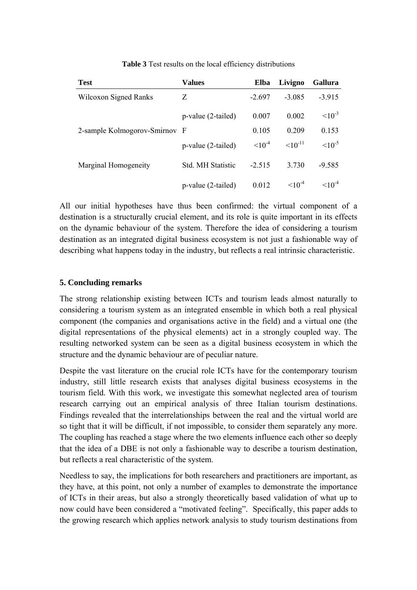| <b>Test</b>                   | <b>Values</b>            | <b>Elba</b> | Livigno    | Gallura   |
|-------------------------------|--------------------------|-------------|------------|-----------|
| Wilcoxon Signed Ranks         | Z                        | $-2.697$    | $-3.085$   | $-3.915$  |
|                               | p-value (2-tailed)       | 0.007       | 0.002      | $10^{-3}$ |
| 2-sample Kolmogorov-Smirnov F |                          | 0.105       | 0.209      | 0.153     |
|                               | p-value (2-tailed)       | $10^{-4}$   | $10^{-11}$ | $10^{-5}$ |
| Marginal Homogeneity          | <b>Std. MH Statistic</b> | $-2.515$    | 3.730      | $-9.585$  |
|                               | p-value (2-tailed)       | 0.012       | $10^{-4}$  | $10^{-4}$ |

**Table 3** Test results on the local efficiency distributions

All our initial hypotheses have thus been confirmed: the virtual component of a destination is a structurally crucial element, and its role is quite important in its effects on the dynamic behaviour of the system. Therefore the idea of considering a tourism destination as an integrated digital business ecosystem is not just a fashionable way of describing what happens today in the industry, but reflects a real intrinsic characteristic.

### **5. Concluding remarks**

The strong relationship existing between ICTs and tourism leads almost naturally to considering a tourism system as an integrated ensemble in which both a real physical component (the companies and organisations active in the field) and a virtual one (the digital representations of the physical elements) act in a strongly coupled way. The resulting networked system can be seen as a digital business ecosystem in which the structure and the dynamic behaviour are of peculiar nature.

Despite the vast literature on the crucial role ICTs have for the contemporary tourism industry, still little research exists that analyses digital business ecosystems in the tourism field. With this work, we investigate this somewhat neglected area of tourism research carrying out an empirical analysis of three Italian tourism destinations. Findings revealed that the interrelationships between the real and the virtual world are so tight that it will be difficult, if not impossible, to consider them separately any more. The coupling has reached a stage where the two elements influence each other so deeply that the idea of a DBE is not only a fashionable way to describe a tourism destination, but reflects a real characteristic of the system.

Needless to say, the implications for both researchers and practitioners are important, as they have, at this point, not only a number of examples to demonstrate the importance of ICTs in their areas, but also a strongly theoretically based validation of what up to now could have been considered a "motivated feeling". Specifically, this paper adds to the growing research which applies network analysis to study tourism destinations from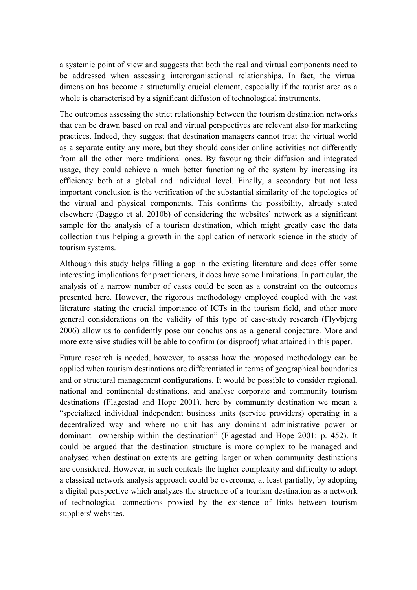a systemic point of view and suggests that both the real and virtual components need to be addressed when assessing interorganisational relationships. In fact, the virtual dimension has become a structurally crucial element, especially if the tourist area as a whole is characterised by a significant diffusion of technological instruments.

The outcomes assessing the strict relationship between the tourism destination networks that can be drawn based on real and virtual perspectives are relevant also for marketing practices. Indeed, they suggest that destination managers cannot treat the virtual world as a separate entity any more, but they should consider online activities not differently from all the other more traditional ones. By favouring their diffusion and integrated usage, they could achieve a much better functioning of the system by increasing its efficiency both at a global and individual level. Finally, a secondary but not less important conclusion is the verification of the substantial similarity of the topologies of the virtual and physical components. This confirms the possibility, already stated elsewhere (Baggio et al. 2010b) of considering the websites' network as a significant sample for the analysis of a tourism destination, which might greatly ease the data collection thus helping a growth in the application of network science in the study of tourism systems.

Although this study helps filling a gap in the existing literature and does offer some interesting implications for practitioners, it does have some limitations. In particular, the analysis of a narrow number of cases could be seen as a constraint on the outcomes presented here. However, the rigorous methodology employed coupled with the vast literature stating the crucial importance of ICTs in the tourism field, and other more general considerations on the validity of this type of case-study research (Flyvbjerg 2006) allow us to confidently pose our conclusions as a general conjecture. More and more extensive studies will be able to confirm (or disproof) what attained in this paper.

Future research is needed, however, to assess how the proposed methodology can be applied when tourism destinations are differentiated in terms of geographical boundaries and or structural management configurations. It would be possible to consider regional, national and continental destinations, and analyse corporate and community tourism destinations (Flagestad and Hope 2001). here by community destination we mean a "specialized individual independent business units (service providers) operating in a decentralized way and where no unit has any dominant administrative power or dominant ownership within the destination" (Flagestad and Hope 2001: p. 452). It could be argued that the destination structure is more complex to be managed and analysed when destination extents are getting larger or when community destinations are considered. However, in such contexts the higher complexity and difficulty to adopt a classical network analysis approach could be overcome, at least partially, by adopting a digital perspective which analyzes the structure of a tourism destination as a network of technological connections proxied by the existence of links between tourism suppliers' websites.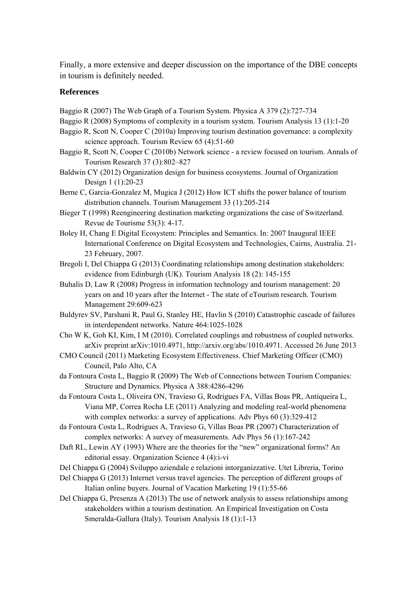Finally, a more extensive and deeper discussion on the importance of the DBE concepts in tourism is definitely needed.

#### **References**

- Baggio R (2007) The Web Graph of a Tourism System. Physica A 379 (2):727-734
- Baggio R (2008) Symptoms of complexity in a tourism system. Tourism Analysis 13 (1):1-20
- Baggio R, Scott N, Cooper C (2010a) Improving tourism destination governance: a complexity science approach. Tourism Review 65 (4):51-60
- Baggio R, Scott N, Cooper C (2010b) Network science a review focused on tourism. Annals of Tourism Research 37 (3):802–827
- Baldwin CY (2012) Organization design for business ecosystems. Journal of Organization Design 1 (1):20-23
- Berne C, Garcia-Gonzalez M, Mugica J (2012) How ICT shifts the power balance of tourism distribution channels. Tourism Management 33 (1):205-214
- Bieger T (1998) Reengineering destination marketing organizations the case of Switzerland. Revue de Tourisme 53(3): 4-17.
- Boley H, Chang E Digital Ecosystem: Principles and Semantics. In: 2007 Inaugural IEEE International Conference on Digital Ecosystem and Technologies, Cairns, Australia. 21- 23 February, 2007.
- Bregoli I, Del Chiappa G (2013) Coordinating relationships among destination stakeholders: evidence from Edinburgh (UK). Tourism Analysis 18 (2): 145-155
- Buhalis D, Law R (2008) Progress in information technology and tourism management: 20 years on and 10 years after the Internet - The state of eTourism research. Tourism Management 29:609-623
- Buldyrev SV, Parshani R, Paul G, Stanley HE, Havlin S (2010) Catastrophic cascade of failures in interdependent networks. Nature 464:1025-1028
- Cho W K, Goh KI, Kim, I M (2010). Correlated couplings and robustness of coupled networks. arXiv preprint arXiv:1010.4971, http://arxiv.org/abs/1010.4971. Accessed 26 June 2013
- CMO Council (2011) Marketing Ecosystem Effectiveness. Chief Marketing Officer (CMO) Council, Palo Alto, CA
- da Fontoura Costa L, Baggio R (2009) The Web of Connections between Tourism Companies: Structure and Dynamics. Physica A 388:4286-4296
- da Fontoura Costa L, Oliveira ON, Travieso G, Rodrigues FA, Villas Boas PR, Antiqueira L, Viana MP, Correa Rocha LE (2011) Analyzing and modeling real-world phenomena with complex networks: a survey of applications. Adv Phys 60 (3):329-412
- da Fontoura Costa L, Rodrigues A, Travieso G, Villas Boas PR (2007) Characterization of complex networks: A survey of measurements. Adv Phys 56 (1):167-242
- Daft RL, Lewin AY (1993) Where are the theories for the "new" organizational forms? An editorial essay. Organization Science 4 (4):i-vi
- Del Chiappa G (2004) Sviluppo aziendale e relazioni intorganizzative. Utet Libreria, Torino
- Del Chiappa G (2013) Internet versus travel agencies. The perception of different groups of Italian online buyers. Journal of Vacation Marketing 19 (1):55-66
- Del Chiappa G, Presenza A (2013) The use of network analysis to assess relationships among stakeholders within a tourism destination. An Empirical Investigation on Costa Smeralda-Gallura (Italy). Tourism Analysis 18 (1):1-13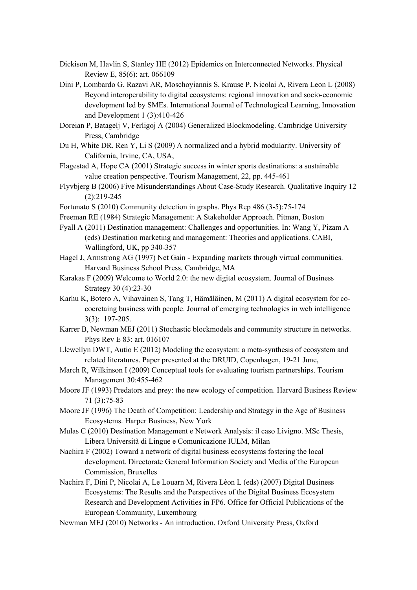- Dickison M, Havlin S, Stanley HE (2012) Epidemics on Interconnected Networks. Physical Review E, 85(6): art. 066109
- Dini P, Lombardo G, Razavi AR, Moschoyiannis S, Krause P, Nicolai A, Rivera Leon L (2008) Beyond interoperability to digital ecosystems: regional innovation and socio-economic development led by SMEs. International Journal of Technological Learning, Innovation and Development 1 (3):410-426
- Doreian P, Batagelj V, Ferligoj A (2004) Generalized Blockmodeling. Cambridge University Press, Cambridge
- Du H, White DR, Ren Y, Li S (2009) A normalized and a hybrid modularity. University of California, Irvine, CA, USA,
- Flagestad A, Hope CA (2001) Strategic success in winter sports destinations: a sustainable value creation perspective. Tourism Management, 22, pp. 445-461
- Flyvbjerg B (2006) Five Misunderstandings About Case-Study Research. Qualitative Inquiry 12 (2):219-245
- Fortunato S (2010) Community detection in graphs. Phys Rep 486 (3-5):75-174
- Freeman RE (1984) Strategic Management: A Stakeholder Approach. Pitman, Boston
- Fyall A (2011) Destination management: Challenges and opportunities. In: Wang Y, Pizam A (eds) Destination marketing and management: Theories and applications. CABI, Wallingford, UK, pp 340-357
- Hagel J, Armstrong AG (1997) Net Gain Expanding markets through virtual communities. Harvard Business School Press, Cambridge, MA
- Karakas F (2009) Welcome to World 2.0: the new digital ecosystem. Journal of Business Strategy 30 (4):23-30
- Karhu K, Botero A, Vihavainen S, Tang T, Hämäläinen, M (2011) A digital ecosystem for cococretaing business with people. Journal of emerging technologies in web intelligence 3(3): 197-205.
- Karrer B, Newman MEJ (2011) Stochastic blockmodels and community structure in networks. Phys Rev E 83: art. 016107
- Llewellyn DWT, Autio E (2012) Modeling the ecosystem: a meta-synthesis of ecosystem and related literatures. Paper presented at the DRUID, Copenhagen, 19-21 June,
- March R, Wilkinson I (2009) Conceptual tools for evaluating tourism partnerships. Tourism Management 30:455-462
- Moore JF (1993) Predators and prey: the new ecology of competition. Harvard Business Review 71 (3):75-83
- Moore JF (1996) The Death of Competition: Leadership and Strategy in the Age of Business Ecosystems. Harper Business, New York
- Mulas C (2010) Destination Management e Network Analysis: il caso Livigno. MSc Thesis, Libera Università di Lingue e Comunicazione IULM, Milan
- Nachira F (2002) Toward a network of digital business ecosystems fostering the local development. Directorate General Information Society and Media of the European Commission, Bruxelles
- Nachira F, Dini P, Nicolai A, Le Louarn M, Rivera Lèon L (eds) (2007) Digital Business Ecosystems: The Results and the Perspectives of the Digital Business Ecosystem Research and Development Activities in FP6. Office for Official Publications of the European Community, Luxembourg
- Newman MEJ (2010) Networks An introduction. Oxford University Press, Oxford